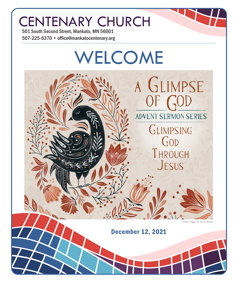# CENTENARY CHURCH

501 South Second Street, Mankato, MN 56001 507-225-6370 • office@mankatocentenary.org

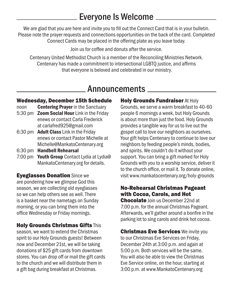## Everyone Is Welcome

We are glad that you are here and invite you to fill out the Connect Card that is in your bulletin. Please note the prayer requests and connections opportunities on the back of the card. Completed Connect Cards may be placed in the offering plate as you leave today.

Join us for coffee and donuts after the service.

Centenary United Methodist Church is a member of the Reconciling Ministries Network. Centenary has made a commitment to intersectional LGBTQ justice, and affirms that everyone is beloved and celebrated in our ministry.

## Announcements

## Wednesday, December 15th Schedule

- noon **Centering Prayer** in the Sanctuary
- 5:30 pm **Zoom Social Hour** Link in the Friday enews or contact Carla Frederick at carlafred925@gmail.com
- 6:30 pm Adult Class Link in the Friday enews or contact Pastor Michelle at Michelle@MankatoCentenary.org
- 6:30 pm Handbell Rehearsal
- 7:00 pm Youth Group Contact Lydia at Lydia@ MankatoCentenary.org for details.

Eyeglasses Donation Since we are pondering how we glimpse God this season, we are collecting old eyeglasses so we can help others see as well. There is a basket near the nametags on Sunday morning, or you can bring them into the office Wednesday or Friday mornings.

## Holy Grounds Christmas Gifts This

season, we want to extend the Christmas spirit to our Holy Grounds guests! Between now and December 21st, we will be taking donations of \$25 gift cards from downtown stores. You can drop off or mail the gift cards to the church and we will distribute them in a gift bag during breakfast at Christmas.

**Holy Grounds Fundraiser At Holy** Grounds, we serve a warm breakfast to 40-60 people 6 mornings a week, but Holy Grounds is about more than just the food. Holy Grounds provides a tangible way for us to live out the gospel call to love our neighbors as ourselves. Your gift helps Centenary to continue to love our neighbors by feeding people's minds, bodies, and spirits. We couldn't do it without your support. You can bring a gift marked for Holy Grounds with you to a worship service, deliver it to the church office, or mail it. To donate online, visit www.mankatocentenary.org/holy-grounds

## No-Rehearsal Christmas Pageant with Cocoa, Carols, and Hot

Chocolate Join us December 22nd at 7:00 p.m. for the annual Christmas Pageant. Afterwards, we'll gather around a bonfire in the parking lot to sing carols and drink hot cocoa.

**Christmas Eve Services** We invite you to our Christmas Eve Services on Friday, December 24th at 3:00 p.m. and again at 5:00 p.m. Both services will be the same. You will also be able to view the Christmas Eve Service online, on the hour, starting at 3:00 p.m. at www.MankatoCentenary.org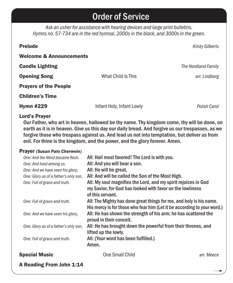## Order of Service

*Ask an usher for assistance with hearing devices and large print bulletins. Hymns no. 57-734 are in the red hymnal, 2000s in the black, and 3000s in the green.*

| <b>Prelude</b>                     |                           | <b>Kristy Gilberts</b> |
|------------------------------------|---------------------------|------------------------|
| <b>Welcome &amp; Announcements</b> |                           |                        |
| <b>Candle Lighting</b>             |                           | The Nordland Family    |
| <b>Opening Song</b>                | What Child Is This        | arr. Lindberg          |
| <b>Prayers of the People</b>       |                           |                        |
| <b>Children's Time</b>             |                           |                        |
| <b>Hymn #229</b>                   | Infant Holy, Infant Lowly | Polish Carol           |
|                                    |                           |                        |

### Lord's Prayer

Our Father, who art in heaven, hallowed be thy name. Thy kingdom come, thy will be done, on earth as it is in heaven. Give us this day our daily bread. And forgive us our trespasses, as we forgive those who trespass against us. And lead us not into temptation, but deliver us from evil. For thine is the kingdom, and the power, and the glory forever. Amen.

### Prayer *(Susan Palo Cherwein)*

| One: And the Word became flesh.       | All: Hail most favored! The Lord is with you.                           |            |
|---------------------------------------|-------------------------------------------------------------------------|------------|
| One: And lived among us.              | All: And you will bear a son.                                           |            |
| One: And we have seen his glory,      | All: He will be great,                                                  |            |
| One: Glory as of a father's only son, | All: And will be called the Son of the Most High.                       |            |
| One: Full of grace and truth.         | All: My soul magnifies the Lord, and my spirit rejoices in God          |            |
|                                       | my Savior, for God has looked with favor on the lowliness               |            |
|                                       | of this servant.                                                        |            |
| One: Full of grace and truth.         | All: The Mighty has done great things for me, and holy is his name.     |            |
|                                       | His mercy is for those who fear him (Let it be according to your word.) |            |
| One: And we have seen his glory,      | All: He has shown the strength of his arm; he has scattered the         |            |
|                                       | proud in their conceit.                                                 |            |
| One: Glory as of a father's only son, | All: He has brought down the powerful from their thrones, and           |            |
|                                       | lifted up the lowly.                                                    |            |
| One: Full of grace and truth.         | All: (Your word has been fulfilled.)                                    |            |
|                                       | Amen.                                                                   |            |
| <b>Special Music</b>                  | One Small Child                                                         | arr. Meece |
|                                       |                                                                         |            |

A Reading From John 1:14